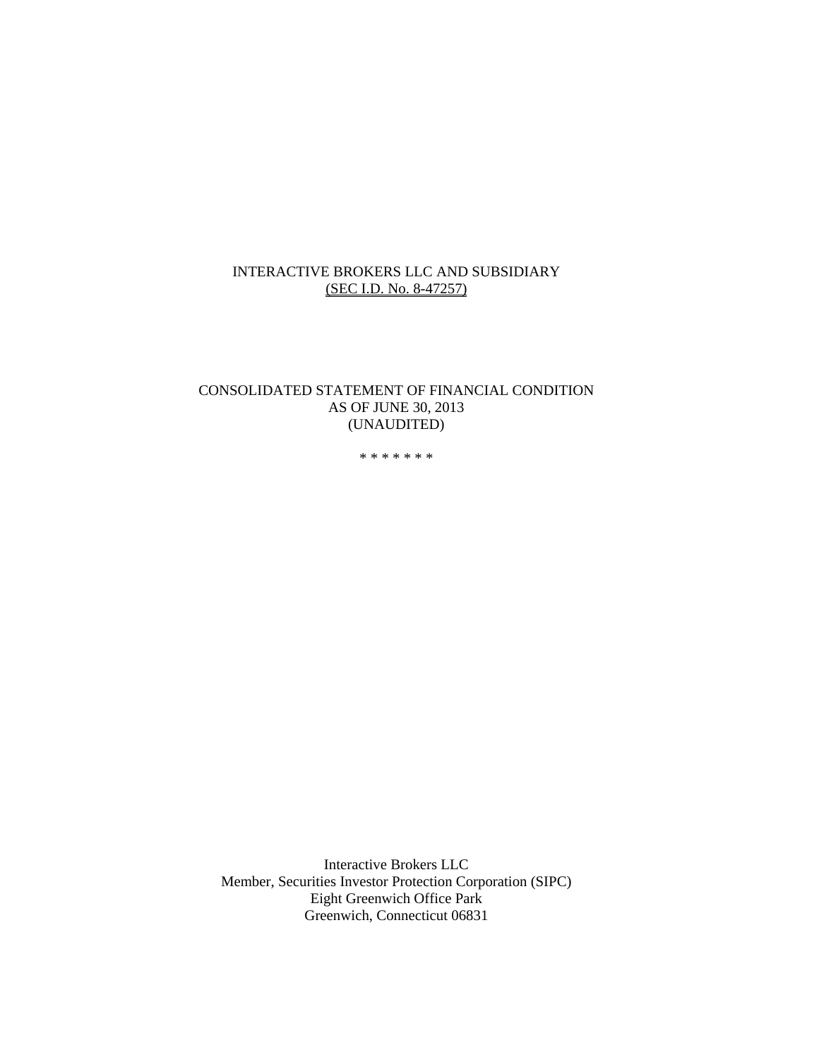#### INTERACTIVE BROKERS LLC AND SUBSIDIARY (SEC I.D. No. 8-47257)

#### CONSOLIDATED STATEMENT OF FINANCIAL CONDITION AS OF JUNE 30, 2013 (UNAUDITED)

\* \* \* \* \* \* \*

Interactive Brokers LLC Member, Securities Investor Protection Corporation (SIPC) Eight Greenwich Office Park Greenwich, Connecticut 06831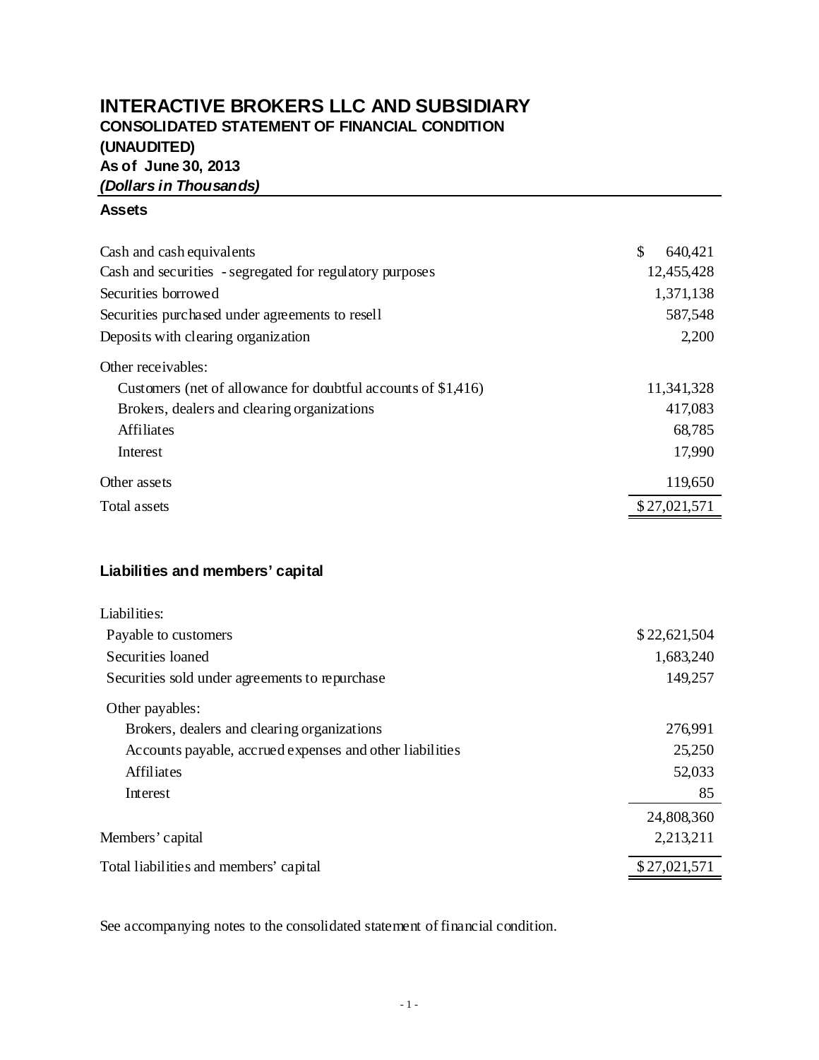# **INTERACTIVE BROKERS LLC AND SUBSIDIARY CONSOLIDATED STATEMENT OF FINANCIAL CONDITION (UNAUDITED) As of June 30, 2013** *(Dollars in Thousands)*

#### **Assets**

| Cash and cash equivalents                                     | \$<br>640,421 |
|---------------------------------------------------------------|---------------|
| Cash and securities - segregated for regulatory purposes      | 12,455,428    |
| Securities borrowed                                           | 1,371,138     |
| Securities purchased under agreements to resell               | 587,548       |
| Deposits with clearing organization                           | 2,200         |
| Other receivables:                                            |               |
| Customers (net of allowance for doubtful accounts of \$1,416) | 11,341,328    |
| Brokers, dealers and clearing organizations                   | 417,083       |
| Affiliates                                                    | 68,785        |
| Interest                                                      | 17,990        |
| Other assets                                                  | 119,650       |
| Total assets                                                  | \$27,021,571  |

# **Liabilities and members' capital**

| Liabilities:                                             |              |
|----------------------------------------------------------|--------------|
| Payable to customers                                     | \$22,621,504 |
| Securities loaned                                        | 1,683,240    |
| Securities sold under agreements to repurchase           | 149,257      |
| Other payables:                                          |              |
| Brokers, dealers and clearing organizations              | 276,991      |
| Accounts payable, accrued expenses and other liabilities | 25,250       |
| Affiliates                                               | 52,033       |
| Interest                                                 | 85           |
|                                                          | 24,808,360   |
| Members' capital                                         | 2,213,211    |
| Total liabilities and members' capital                   | \$27,021,571 |

See accompanying notes to the consolidated statement of financial condition.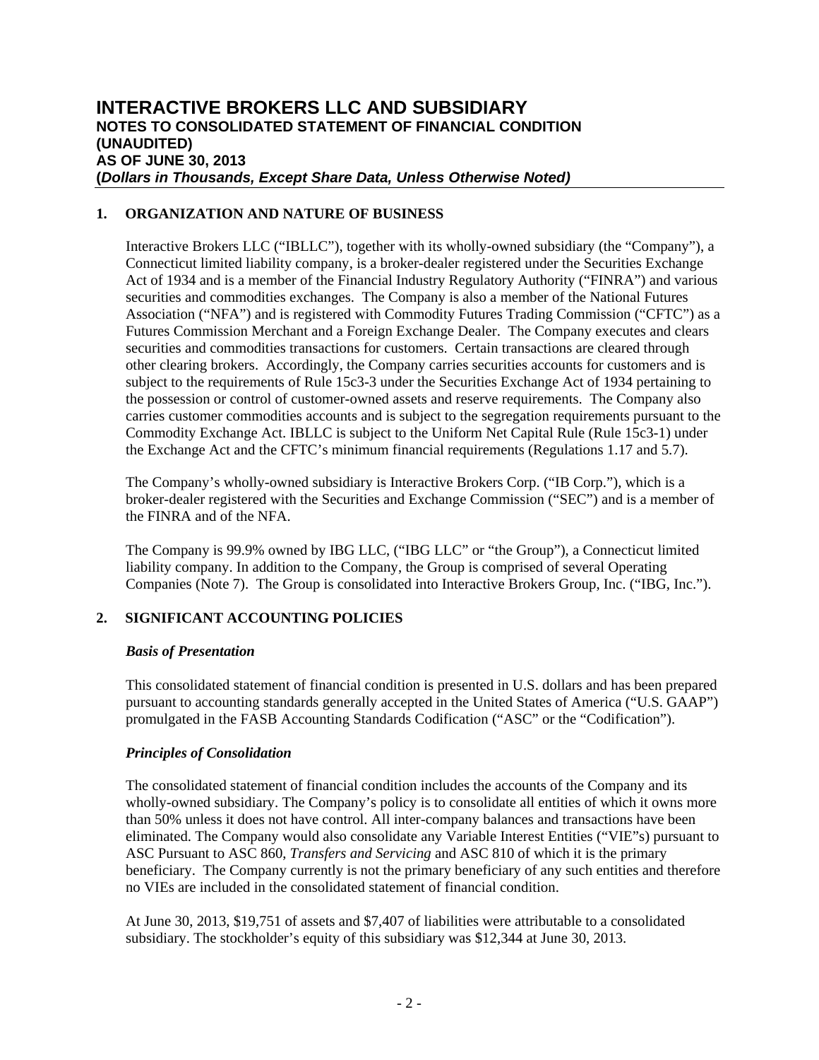# **INTERACTIVE BROKERS LLC AND SUBSIDIARY NOTES TO CONSOLIDATED STATEMENT OF FINANCIAL CONDITION (UNAUDITED) AS OF JUNE 30, 2013 (***Dollars in Thousands, Except Share Data, Unless Otherwise Noted)*

### **1. ORGANIZATION AND NATURE OF BUSINESS**

Interactive Brokers LLC ("IBLLC"), together with its wholly-owned subsidiary (the "Company"), a Connecticut limited liability company, is a broker-dealer registered under the Securities Exchange Act of 1934 and is a member of the Financial Industry Regulatory Authority ("FINRA") and various securities and commodities exchanges. The Company is also a member of the National Futures Association ("NFA") and is registered with Commodity Futures Trading Commission ("CFTC") as a Futures Commission Merchant and a Foreign Exchange Dealer. The Company executes and clears securities and commodities transactions for customers. Certain transactions are cleared through other clearing brokers. Accordingly, the Company carries securities accounts for customers and is subject to the requirements of Rule 15c3-3 under the Securities Exchange Act of 1934 pertaining to the possession or control of customer-owned assets and reserve requirements. The Company also carries customer commodities accounts and is subject to the segregation requirements pursuant to the Commodity Exchange Act. IBLLC is subject to the Uniform Net Capital Rule (Rule 15c3-1) under the Exchange Act and the CFTC's minimum financial requirements (Regulations 1.17 and 5.7).

The Company's wholly-owned subsidiary is Interactive Brokers Corp. ("IB Corp."), which is a broker-dealer registered with the Securities and Exchange Commission ("SEC") and is a member of the FINRA and of the NFA.

The Company is 99.9% owned by IBG LLC, ("IBG LLC" or "the Group"), a Connecticut limited liability company. In addition to the Company, the Group is comprised of several Operating Companies (Note 7). The Group is consolidated into Interactive Brokers Group, Inc. ("IBG, Inc.").

# **2. SIGNIFICANT ACCOUNTING POLICIES**

### *Basis of Presentation*

This consolidated statement of financial condition is presented in U.S. dollars and has been prepared pursuant to accounting standards generally accepted in the United States of America ("U.S. GAAP") promulgated in the FASB Accounting Standards Codification ("ASC" or the "Codification").

### *Principles of Consolidation*

The consolidated statement of financial condition includes the accounts of the Company and its wholly-owned subsidiary. The Company's policy is to consolidate all entities of which it owns more than 50% unless it does not have control. All inter-company balances and transactions have been eliminated. The Company would also consolidate any Variable Interest Entities ("VIE"s) pursuant to ASC Pursuant to ASC 860, *Transfers and Servicing* and ASC 810 of which it is the primary beneficiary. The Company currently is not the primary beneficiary of any such entities and therefore no VIEs are included in the consolidated statement of financial condition.

At June 30, 2013, \$19,751 of assets and \$7,407 of liabilities were attributable to a consolidated subsidiary. The stockholder's equity of this subsidiary was \$12,344 at June 30, 2013.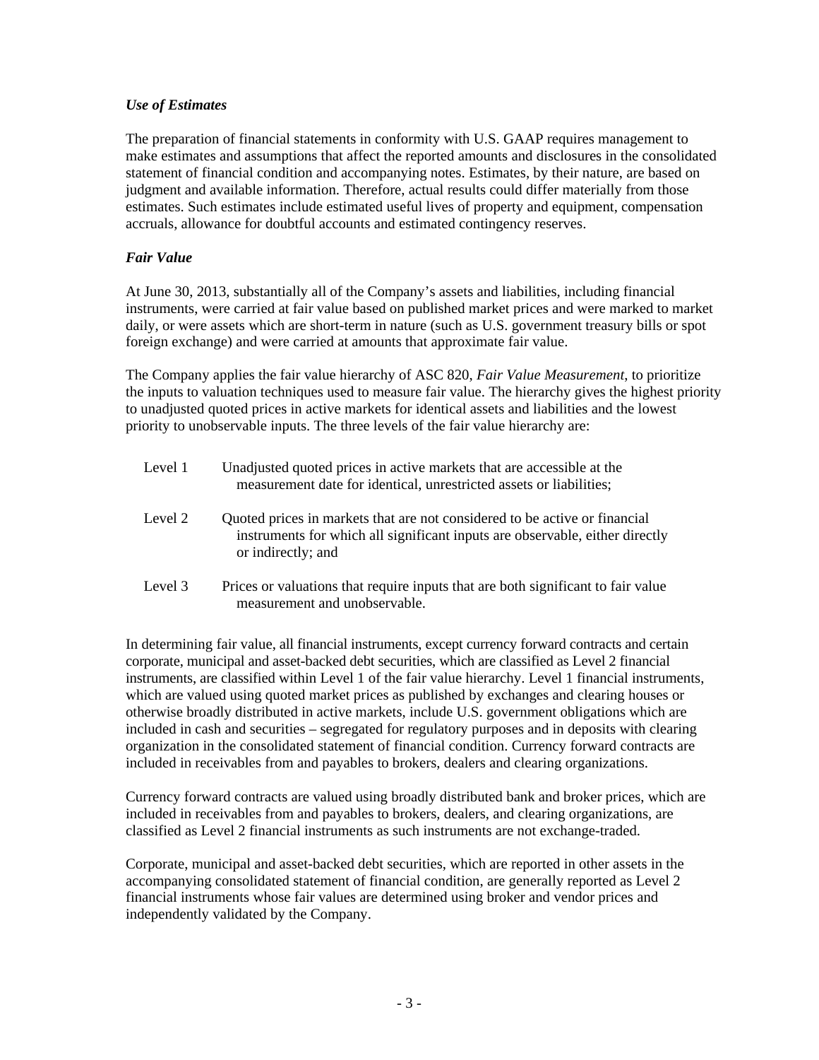#### *Use of Estimates*

The preparation of financial statements in conformity with U.S. GAAP requires management to make estimates and assumptions that affect the reported amounts and disclosures in the consolidated statement of financial condition and accompanying notes. Estimates, by their nature, are based on judgment and available information. Therefore, actual results could differ materially from those estimates. Such estimates include estimated useful lives of property and equipment, compensation accruals, allowance for doubtful accounts and estimated contingency reserves.

### *Fair Value*

At June 30, 2013, substantially all of the Company's assets and liabilities, including financial instruments, were carried at fair value based on published market prices and were marked to market daily, or were assets which are short-term in nature (such as U.S. government treasury bills or spot foreign exchange) and were carried at amounts that approximate fair value.

The Company applies the fair value hierarchy of ASC 820, *Fair Value Measurement*, to prioritize the inputs to valuation techniques used to measure fair value. The hierarchy gives the highest priority to unadjusted quoted prices in active markets for identical assets and liabilities and the lowest priority to unobservable inputs. The three levels of the fair value hierarchy are:

| Level 1 | Unadjusted quoted prices in active markets that are accessible at the<br>measurement date for identical, unrestricted assets or liabilities;                                     |
|---------|----------------------------------------------------------------------------------------------------------------------------------------------------------------------------------|
| Level 2 | Quoted prices in markets that are not considered to be active or financial<br>instruments for which all significant inputs are observable, either directly<br>or indirectly; and |
| Level 3 | Prices or valuations that require inputs that are both significant to fair value<br>measurement and unobservable.                                                                |

In determining fair value, all financial instruments, except currency forward contracts and certain corporate, municipal and asset-backed debt securities, which are classified as Level 2 financial instruments, are classified within Level 1 of the fair value hierarchy. Level 1 financial instruments, which are valued using quoted market prices as published by exchanges and clearing houses or otherwise broadly distributed in active markets, include U.S. government obligations which are included in cash and securities – segregated for regulatory purposes and in deposits with clearing organization in the consolidated statement of financial condition. Currency forward contracts are included in receivables from and payables to brokers, dealers and clearing organizations.

Currency forward contracts are valued using broadly distributed bank and broker prices, which are included in receivables from and payables to brokers, dealers, and clearing organizations, are classified as Level 2 financial instruments as such instruments are not exchange-traded.

Corporate, municipal and asset-backed debt securities, which are reported in other assets in the accompanying consolidated statement of financial condition, are generally reported as Level 2 financial instruments whose fair values are determined using broker and vendor prices and independently validated by the Company.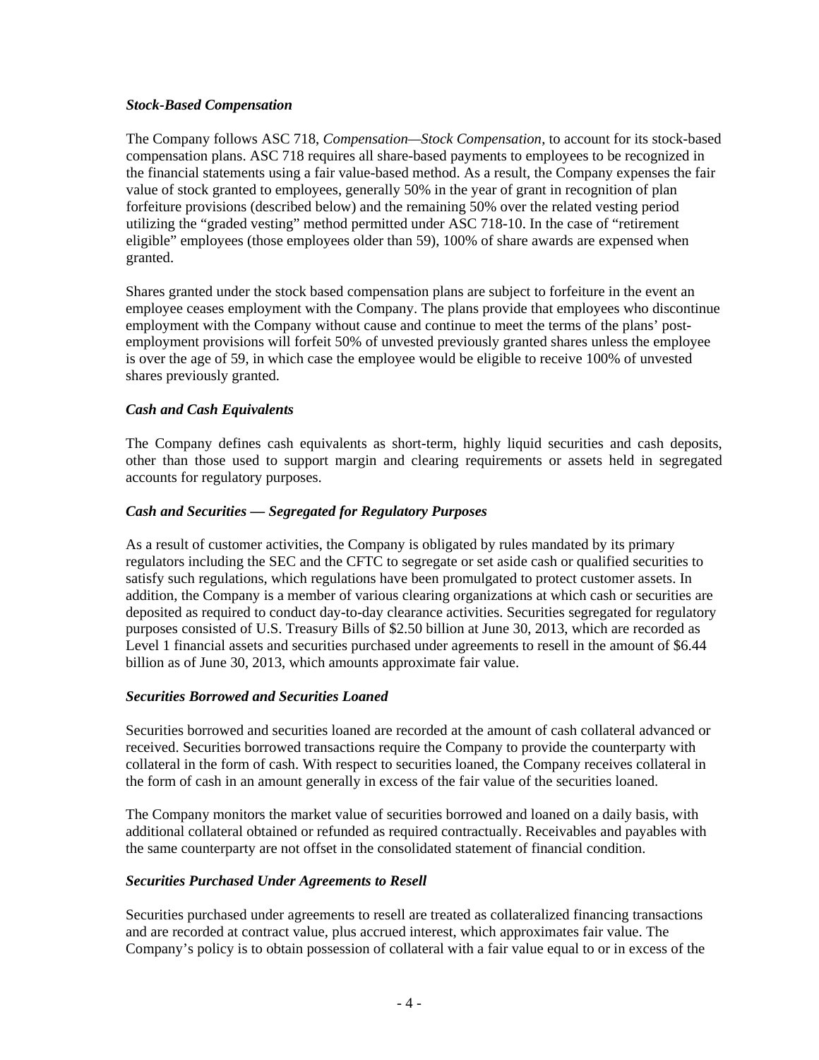#### *Stock-Based Compensation*

The Company follows ASC 718, *Compensation—Stock Compensation*, to account for its stock-based compensation plans. ASC 718 requires all share-based payments to employees to be recognized in the financial statements using a fair value-based method. As a result, the Company expenses the fair value of stock granted to employees, generally 50% in the year of grant in recognition of plan forfeiture provisions (described below) and the remaining 50% over the related vesting period utilizing the "graded vesting" method permitted under ASC 718-10. In the case of "retirement eligible" employees (those employees older than 59), 100% of share awards are expensed when granted.

Shares granted under the stock based compensation plans are subject to forfeiture in the event an employee ceases employment with the Company. The plans provide that employees who discontinue employment with the Company without cause and continue to meet the terms of the plans' postemployment provisions will forfeit 50% of unvested previously granted shares unless the employee is over the age of 59, in which case the employee would be eligible to receive 100% of unvested shares previously granted.

#### *Cash and Cash Equivalents*

The Company defines cash equivalents as short-term, highly liquid securities and cash deposits, other than those used to support margin and clearing requirements or assets held in segregated accounts for regulatory purposes.

#### *Cash and Securities — Segregated for Regulatory Purposes*

As a result of customer activities, the Company is obligated by rules mandated by its primary regulators including the SEC and the CFTC to segregate or set aside cash or qualified securities to satisfy such regulations, which regulations have been promulgated to protect customer assets. In addition, the Company is a member of various clearing organizations at which cash or securities are deposited as required to conduct day-to-day clearance activities. Securities segregated for regulatory purposes consisted of U.S. Treasury Bills of \$2.50 billion at June 30, 2013, which are recorded as Level 1 financial assets and securities purchased under agreements to resell in the amount of \$6.44 billion as of June 30, 2013, which amounts approximate fair value.

#### *Securities Borrowed and Securities Loaned*

Securities borrowed and securities loaned are recorded at the amount of cash collateral advanced or received. Securities borrowed transactions require the Company to provide the counterparty with collateral in the form of cash. With respect to securities loaned, the Company receives collateral in the form of cash in an amount generally in excess of the fair value of the securities loaned.

The Company monitors the market value of securities borrowed and loaned on a daily basis, with additional collateral obtained or refunded as required contractually. Receivables and payables with the same counterparty are not offset in the consolidated statement of financial condition.

#### *Securities Purchased Under Agreements to Resell*

Securities purchased under agreements to resell are treated as collateralized financing transactions and are recorded at contract value, plus accrued interest, which approximates fair value. The Company's policy is to obtain possession of collateral with a fair value equal to or in excess of the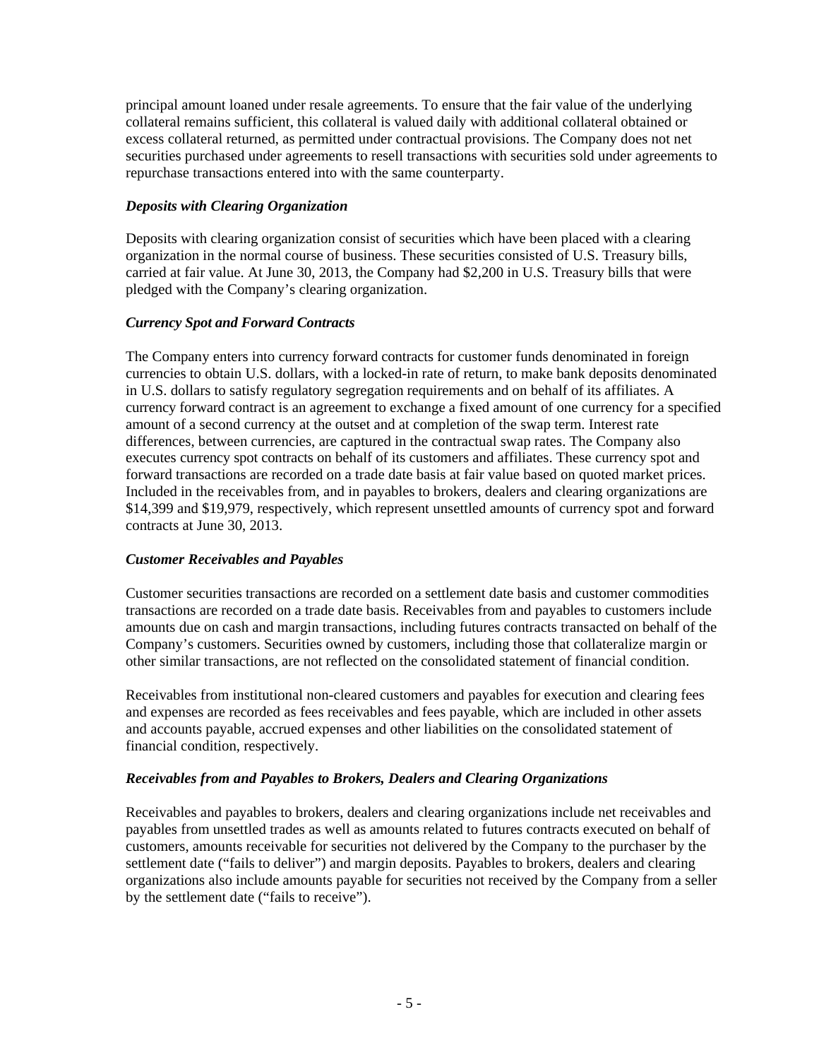principal amount loaned under resale agreements. To ensure that the fair value of the underlying collateral remains sufficient, this collateral is valued daily with additional collateral obtained or excess collateral returned, as permitted under contractual provisions. The Company does not net securities purchased under agreements to resell transactions with securities sold under agreements to repurchase transactions entered into with the same counterparty.

#### *Deposits with Clearing Organization*

Deposits with clearing organization consist of securities which have been placed with a clearing organization in the normal course of business. These securities consisted of U.S. Treasury bills, carried at fair value. At June 30, 2013, the Company had \$2,200 in U.S. Treasury bills that were pledged with the Company's clearing organization.

#### *Currency Spot and Forward Contracts*

The Company enters into currency forward contracts for customer funds denominated in foreign currencies to obtain U.S. dollars, with a locked-in rate of return, to make bank deposits denominated in U.S. dollars to satisfy regulatory segregation requirements and on behalf of its affiliates. A currency forward contract is an agreement to exchange a fixed amount of one currency for a specified amount of a second currency at the outset and at completion of the swap term. Interest rate differences, between currencies, are captured in the contractual swap rates. The Company also executes currency spot contracts on behalf of its customers and affiliates. These currency spot and forward transactions are recorded on a trade date basis at fair value based on quoted market prices. Included in the receivables from, and in payables to brokers, dealers and clearing organizations are \$14,399 and \$19,979, respectively, which represent unsettled amounts of currency spot and forward contracts at June 30, 2013.

### *Customer Receivables and Payables*

Customer securities transactions are recorded on a settlement date basis and customer commodities transactions are recorded on a trade date basis. Receivables from and payables to customers include amounts due on cash and margin transactions, including futures contracts transacted on behalf of the Company's customers. Securities owned by customers, including those that collateralize margin or other similar transactions, are not reflected on the consolidated statement of financial condition.

Receivables from institutional non-cleared customers and payables for execution and clearing fees and expenses are recorded as fees receivables and fees payable, which are included in other assets and accounts payable, accrued expenses and other liabilities on the consolidated statement of financial condition, respectively.

#### *Receivables from and Payables to Brokers, Dealers and Clearing Organizations*

Receivables and payables to brokers, dealers and clearing organizations include net receivables and payables from unsettled trades as well as amounts related to futures contracts executed on behalf of customers, amounts receivable for securities not delivered by the Company to the purchaser by the settlement date ("fails to deliver") and margin deposits. Payables to brokers, dealers and clearing organizations also include amounts payable for securities not received by the Company from a seller by the settlement date ("fails to receive").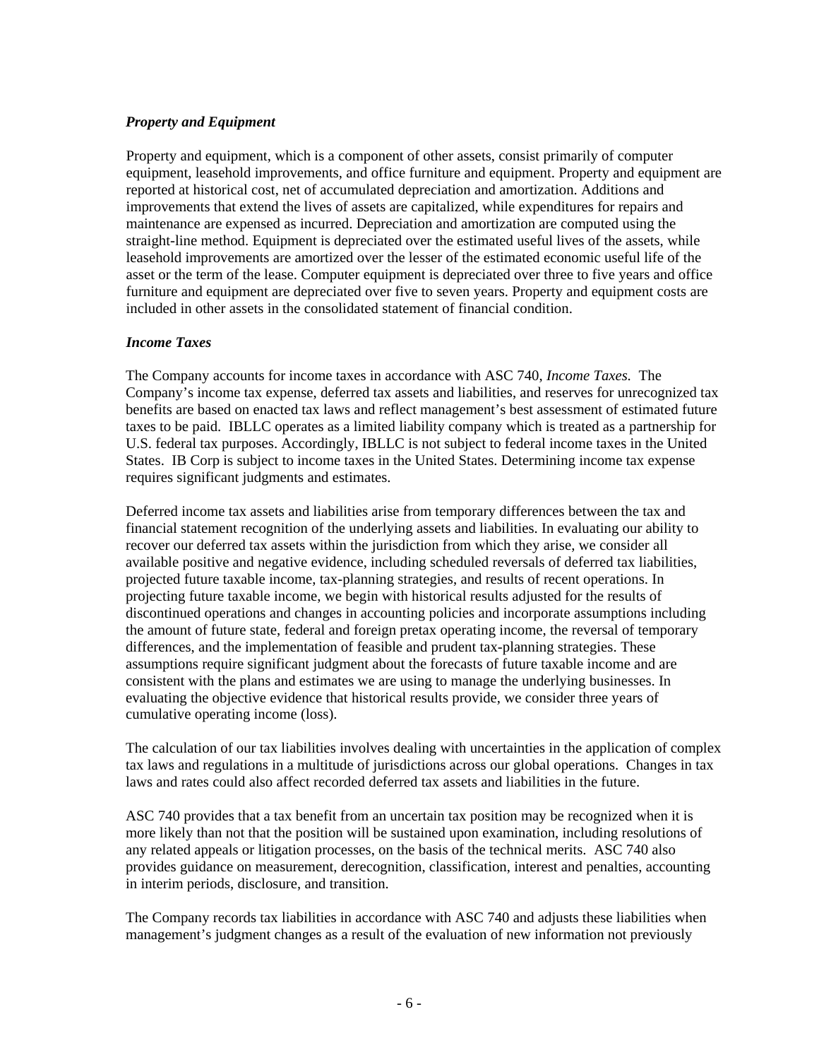### *Property and Equipment*

Property and equipment, which is a component of other assets, consist primarily of computer equipment, leasehold improvements, and office furniture and equipment. Property and equipment are reported at historical cost, net of accumulated depreciation and amortization. Additions and improvements that extend the lives of assets are capitalized, while expenditures for repairs and maintenance are expensed as incurred. Depreciation and amortization are computed using the straight-line method. Equipment is depreciated over the estimated useful lives of the assets, while leasehold improvements are amortized over the lesser of the estimated economic useful life of the asset or the term of the lease. Computer equipment is depreciated over three to five years and office furniture and equipment are depreciated over five to seven years. Property and equipment costs are included in other assets in the consolidated statement of financial condition.

#### *Income Taxes*

The Company accounts for income taxes in accordance with ASC 740, *Income Taxes.* The Company's income tax expense, deferred tax assets and liabilities, and reserves for unrecognized tax benefits are based on enacted tax laws and reflect management's best assessment of estimated future taxes to be paid. IBLLC operates as a limited liability company which is treated as a partnership for U.S. federal tax purposes. Accordingly, IBLLC is not subject to federal income taxes in the United States. IB Corp is subject to income taxes in the United States. Determining income tax expense requires significant judgments and estimates.

Deferred income tax assets and liabilities arise from temporary differences between the tax and financial statement recognition of the underlying assets and liabilities. In evaluating our ability to recover our deferred tax assets within the jurisdiction from which they arise, we consider all available positive and negative evidence, including scheduled reversals of deferred tax liabilities, projected future taxable income, tax-planning strategies, and results of recent operations. In projecting future taxable income, we begin with historical results adjusted for the results of discontinued operations and changes in accounting policies and incorporate assumptions including the amount of future state, federal and foreign pretax operating income, the reversal of temporary differences, and the implementation of feasible and prudent tax-planning strategies. These assumptions require significant judgment about the forecasts of future taxable income and are consistent with the plans and estimates we are using to manage the underlying businesses. In evaluating the objective evidence that historical results provide, we consider three years of cumulative operating income (loss).

The calculation of our tax liabilities involves dealing with uncertainties in the application of complex tax laws and regulations in a multitude of jurisdictions across our global operations. Changes in tax laws and rates could also affect recorded deferred tax assets and liabilities in the future.

ASC 740 provides that a tax benefit from an uncertain tax position may be recognized when it is more likely than not that the position will be sustained upon examination, including resolutions of any related appeals or litigation processes, on the basis of the technical merits. ASC 740 also provides guidance on measurement, derecognition, classification, interest and penalties, accounting in interim periods, disclosure, and transition.

The Company records tax liabilities in accordance with ASC 740 and adjusts these liabilities when management's judgment changes as a result of the evaluation of new information not previously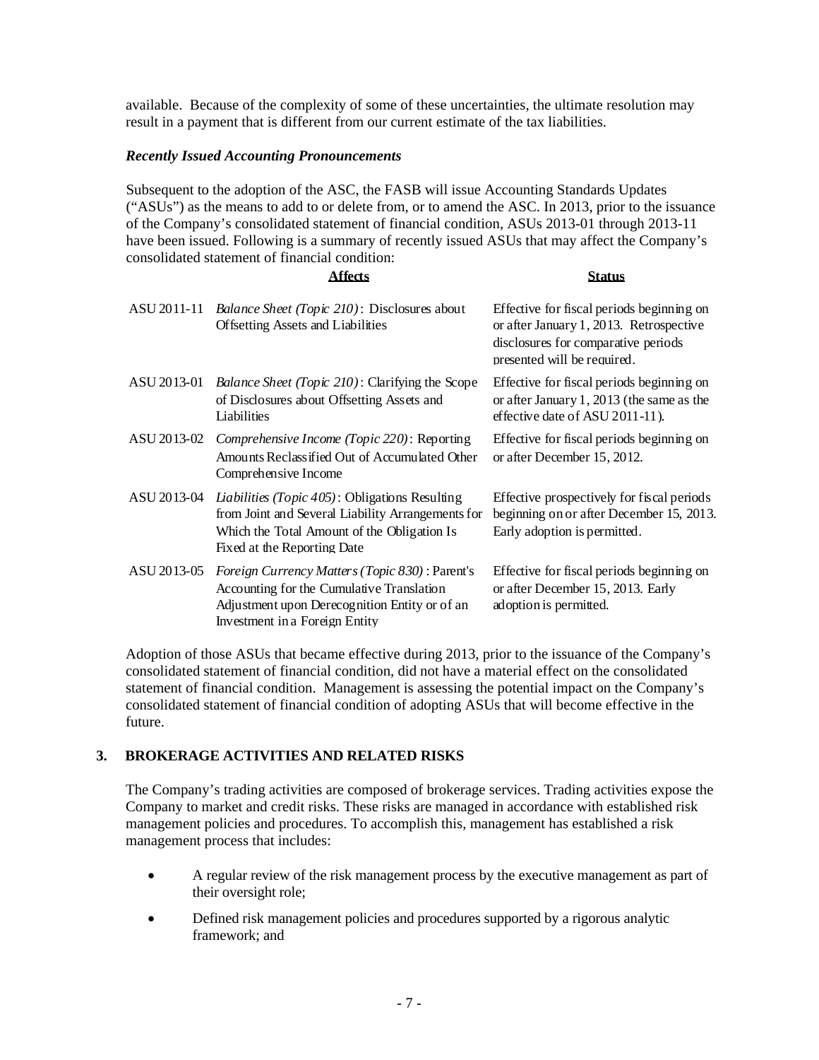available. Because of the complexity of some of these uncertainties, the ultimate resolution may result in a payment that is different from our current estimate of the tax liabilities.

#### *Recently Issued Accounting Pronouncements*

Subsequent to the adoption of the ASC, the FASB will issue Accounting Standards Updates ("ASUs") as the means to add to or delete from, or to amend the ASC. In 2013, prior to the issuance of the Company's consolidated statement of financial condition, ASUs 2013-01 through 2013-11 have been issued. Following is a summary of recently issued ASUs that may affect the Company's consolidated statement of financial condition:

#### **Affects Status**

| ASU 2011-11 | <i>Balance Sheet (Topic 210): Disclosures about</i><br><b>Offsetting Assets and Liabilities</b>                                                                                           | Effective for fiscal periods beginning on<br>or after January 1, 2013. Retrospective<br>disclosures for comparative periods<br>presented will be required. |
|-------------|-------------------------------------------------------------------------------------------------------------------------------------------------------------------------------------------|------------------------------------------------------------------------------------------------------------------------------------------------------------|
| ASU 2013-01 | <i>Balance Sheet (Topic 210):</i> Clarifying the Scope<br>of Disclosures about Offsetting Assets and<br>Liabilities                                                                       | Effective for fiscal periods beginning on<br>or after January $1, 2013$ (the same as the<br>effective date of ASU 2011-11).                                |
| ASU 2013-02 | <i>Comprehensive Income (Topic 220):</i> Reporting<br>Amounts Reclass if ied Out of Accumulated Other<br>Comprehensive Income                                                             | Effective for fiscal periods beginning on<br>or after December 15, 2012.                                                                                   |
| ASU 2013-04 | <i>Liabilities (Topic 405)</i> : Obligations Resulting<br>from Joint and Several Liability Arrangements for<br>Which the Total Amount of the Obligation Is<br>Fixed at the Reporting Date | Effective prospectively for fiscal periods<br>beginning on or after December 15, 2013.<br>Early adoption is permitted.                                     |
| ASU 2013-05 | <i>Foreign Currency Matters (Topic 830)</i> : Parent's<br>Accounting for the Cumulative Translation<br>Adjustment upon Derecognition Entity or of an<br>Investment in a Foreign Entity    | Effective for fiscal periods beginning on<br>or after December 15, 2013. Early<br>adoption is permitted.                                                   |

Adoption of those ASUs that became effective during 2013, prior to the issuance of the Company's consolidated statement of financial condition, did not have a material effect on the consolidated statement of financial condition. Management is assessing the potential impact on the Company's consolidated statement of financial condition of adopting ASUs that will become effective in the future.

### **3. BROKERAGE ACTIVITIES AND RELATED RISKS**

The Company's trading activities are composed of brokerage services. Trading activities expose the Company to market and credit risks. These risks are managed in accordance with established risk management policies and procedures. To accomplish this, management has established a risk management process that includes:

- A regular review of the risk management process by the executive management as part of their oversight role;
- Defined risk management policies and procedures supported by a rigorous analytic framework; and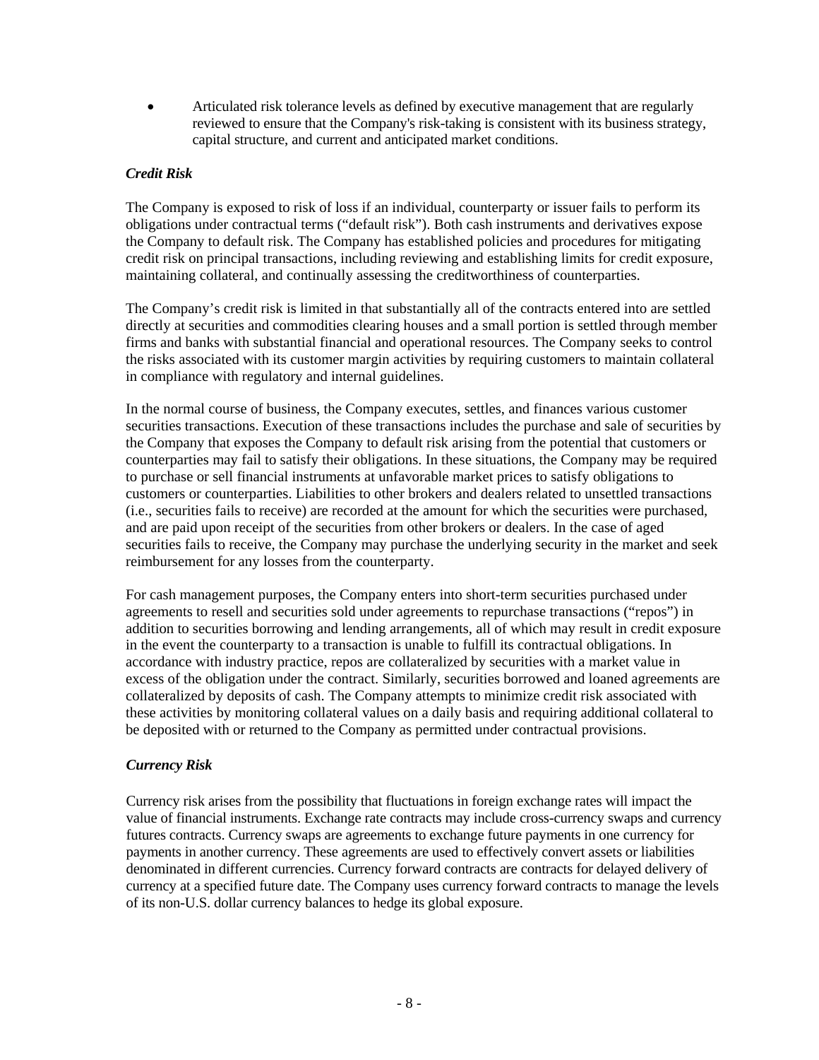Articulated risk tolerance levels as defined by executive management that are regularly reviewed to ensure that the Company's risk-taking is consistent with its business strategy, capital structure, and current and anticipated market conditions.

### *Credit Risk*

The Company is exposed to risk of loss if an individual, counterparty or issuer fails to perform its obligations under contractual terms ("default risk"). Both cash instruments and derivatives expose the Company to default risk. The Company has established policies and procedures for mitigating credit risk on principal transactions, including reviewing and establishing limits for credit exposure, maintaining collateral, and continually assessing the creditworthiness of counterparties.

The Company's credit risk is limited in that substantially all of the contracts entered into are settled directly at securities and commodities clearing houses and a small portion is settled through member firms and banks with substantial financial and operational resources. The Company seeks to control the risks associated with its customer margin activities by requiring customers to maintain collateral in compliance with regulatory and internal guidelines.

In the normal course of business, the Company executes, settles, and finances various customer securities transactions. Execution of these transactions includes the purchase and sale of securities by the Company that exposes the Company to default risk arising from the potential that customers or counterparties may fail to satisfy their obligations. In these situations, the Company may be required to purchase or sell financial instruments at unfavorable market prices to satisfy obligations to customers or counterparties. Liabilities to other brokers and dealers related to unsettled transactions (i.e., securities fails to receive) are recorded at the amount for which the securities were purchased, and are paid upon receipt of the securities from other brokers or dealers. In the case of aged securities fails to receive, the Company may purchase the underlying security in the market and seek reimbursement for any losses from the counterparty.

For cash management purposes, the Company enters into short-term securities purchased under agreements to resell and securities sold under agreements to repurchase transactions ("repos") in addition to securities borrowing and lending arrangements, all of which may result in credit exposure in the event the counterparty to a transaction is unable to fulfill its contractual obligations. In accordance with industry practice, repos are collateralized by securities with a market value in excess of the obligation under the contract. Similarly, securities borrowed and loaned agreements are collateralized by deposits of cash. The Company attempts to minimize credit risk associated with these activities by monitoring collateral values on a daily basis and requiring additional collateral to be deposited with or returned to the Company as permitted under contractual provisions.

### *Currency Risk*

Currency risk arises from the possibility that fluctuations in foreign exchange rates will impact the value of financial instruments. Exchange rate contracts may include cross-currency swaps and currency futures contracts. Currency swaps are agreements to exchange future payments in one currency for payments in another currency. These agreements are used to effectively convert assets or liabilities denominated in different currencies. Currency forward contracts are contracts for delayed delivery of currency at a specified future date. The Company uses currency forward contracts to manage the levels of its non-U.S. dollar currency balances to hedge its global exposure.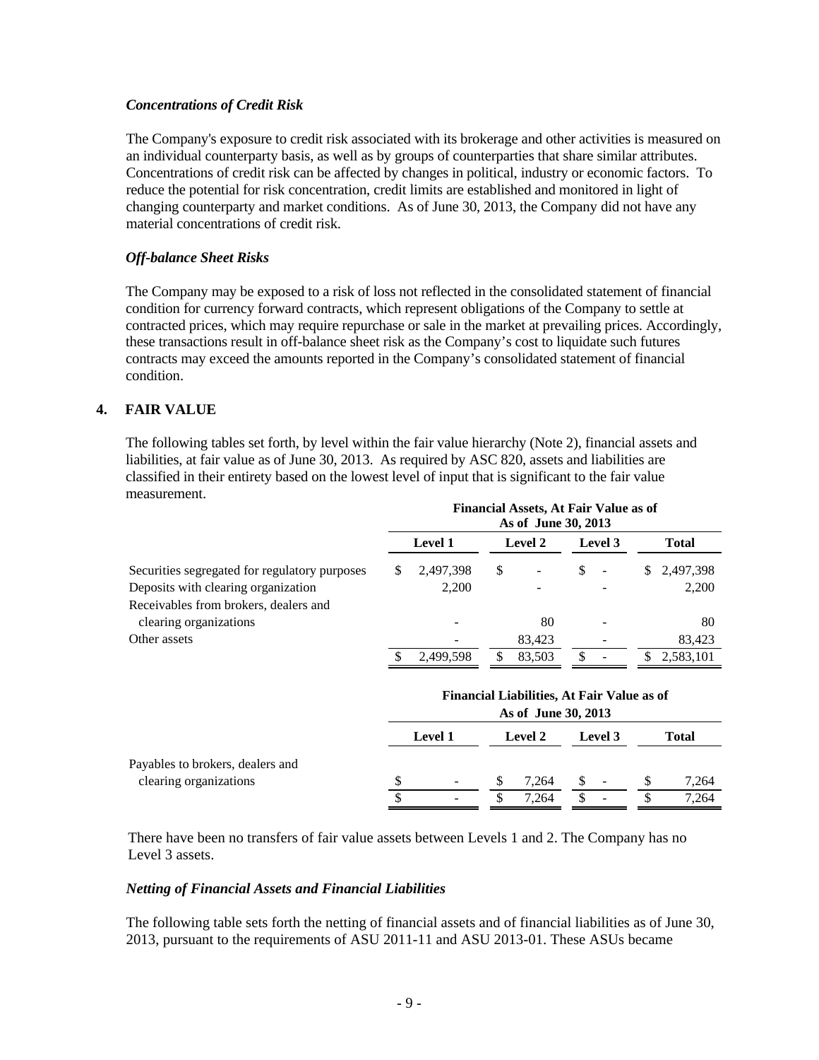#### *Concentrations of Credit Risk*

The Company's exposure to credit risk associated with its brokerage and other activities is measured on an individual counterparty basis, as well as by groups of counterparties that share similar attributes. Concentrations of credit risk can be affected by changes in political, industry or economic factors. To reduce the potential for risk concentration, credit limits are established and monitored in light of changing counterparty and market conditions. As of June 30, 2013, the Company did not have any material concentrations of credit risk.

#### *Off-balance Sheet Risks*

The Company may be exposed to a risk of loss not reflected in the consolidated statement of financial condition for currency forward contracts, which represent obligations of the Company to settle at contracted prices, which may require repurchase or sale in the market at prevailing prices. Accordingly, these transactions result in off-balance sheet risk as the Company's cost to liquidate such futures contracts may exceed the amounts reported in the Company's consolidated statement of financial condition.

### **4. FAIR VALUE**

The following tables set forth, by level within the fair value hierarchy (Note 2), financial assets and liabilities, at fair value as of June 30, 2013. As required by ASC 820, assets and liabilities are classified in their entirety based on the lowest level of input that is significant to the fair value measurement.

|                                               | <b>Financial Assets, At Fair Value as of</b><br>As of June 30, 2013 |                |                |        |                |                          |              |             |  |
|-----------------------------------------------|---------------------------------------------------------------------|----------------|----------------|--------|----------------|--------------------------|--------------|-------------|--|
|                                               |                                                                     | <b>Level 1</b> | <b>Level 2</b> |        | <b>Level</b> 3 |                          | <b>Total</b> |             |  |
| Securities segregated for regulatory purposes | S.                                                                  | 2,497,398      | S              | -      | \$             | $\overline{\phantom{a}}$ |              | \$2,497,398 |  |
| Deposits with clearing organization           |                                                                     | 2,200          |                |        |                |                          |              | 2,200       |  |
| Receivables from brokers, dealers and         |                                                                     |                |                |        |                |                          |              |             |  |
| clearing organizations                        |                                                                     |                |                | 80     |                |                          |              | 80          |  |
| Other assets                                  |                                                                     |                |                | 83.423 |                |                          |              | 83,423      |  |
|                                               |                                                                     | 2.499.598      | \$             | 83.503 |                |                          | S.           | 2,583,101   |  |

|                                  | <b>Financial Liabilities, At Fair Value as of</b><br>As of June 30, 2013 |                |    |         |  |                          |  |       |  |
|----------------------------------|--------------------------------------------------------------------------|----------------|----|---------|--|--------------------------|--|-------|--|
|                                  |                                                                          | <b>Level 1</b> |    | Level 2 |  | Level 3                  |  | Total |  |
| Payables to brokers, dealers and |                                                                          |                |    |         |  |                          |  |       |  |
| clearing organizations           |                                                                          |                | S  | 7.264   |  | $\overline{\phantom{0}}$ |  | 7,264 |  |
|                                  |                                                                          |                | J. | 7.264   |  | $\overline{\phantom{a}}$ |  | 7,264 |  |

There have been no transfers of fair value assets between Levels 1 and 2. The Company has no Level 3 assets.

#### *Netting of Financial Assets and Financial Liabilities*

The following table sets forth the netting of financial assets and of financial liabilities as of June 30, 2013, pursuant to the requirements of ASU 2011-11 and ASU 2013-01. These ASUs became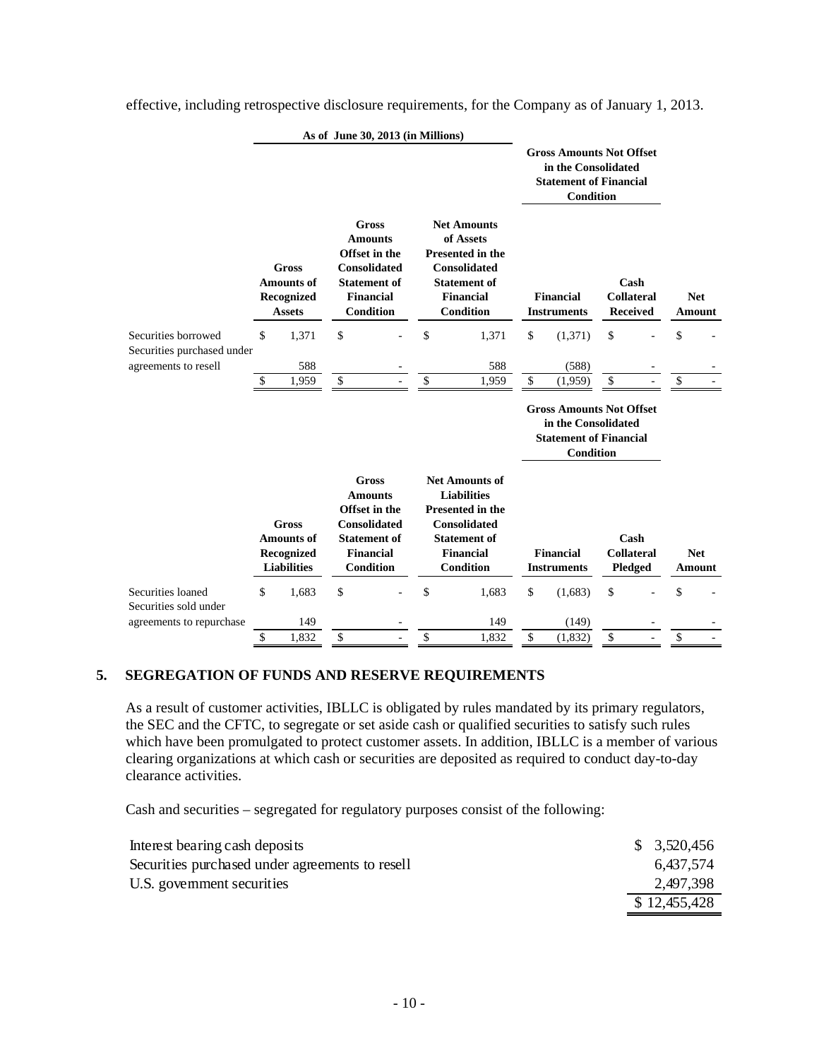|                                            | As of June 30, 2013 (in Millions) |                                                                       |    |                                                                                                                                       |                                                                                                                                                              |    |                                                                                                             |                                              |  |                      |
|--------------------------------------------|-----------------------------------|-----------------------------------------------------------------------|----|---------------------------------------------------------------------------------------------------------------------------------------|--------------------------------------------------------------------------------------------------------------------------------------------------------------|----|-------------------------------------------------------------------------------------------------------------|----------------------------------------------|--|----------------------|
|                                            |                                   |                                                                       |    |                                                                                                                                       |                                                                                                                                                              |    | <b>Gross Amounts Not Offset</b><br>in the Consolidated<br><b>Statement of Financial</b><br><b>Condition</b> |                                              |  |                      |
|                                            |                                   | <b>Gross</b><br><b>Amounts of</b><br>Recognized<br><b>Assets</b>      |    | <b>Gross</b><br><b>Amounts</b><br>Offset in the<br><b>Consolidated</b><br><b>Statement of</b><br><b>Financial</b><br><b>Condition</b> | <b>Net Amounts</b><br>of Assets<br><b>Presented in the</b><br><b>Consolidated</b><br><b>Statement of</b><br><b>Financial</b><br><b>Condition</b>             |    | <b>Financial</b><br><b>Instruments</b>                                                                      | Cash<br><b>Collateral</b><br><b>Received</b> |  | <b>Net</b><br>Amount |
| Securities borrowed                        | \$                                | 1,371                                                                 | \$ |                                                                                                                                       | \$<br>1,371                                                                                                                                                  | \$ | (1,371)                                                                                                     | \$                                           |  | \$                   |
| Securities purchased under                 |                                   |                                                                       |    |                                                                                                                                       |                                                                                                                                                              |    |                                                                                                             |                                              |  |                      |
| agreements to resell                       | \$                                | 588<br>1,959                                                          | \$ | $\bar{\phantom{a}}$                                                                                                                   | \$<br>588<br>1,959                                                                                                                                           | \$ | (588)<br>(1,959)                                                                                            | \$                                           |  | \$                   |
|                                            |                                   |                                                                       |    |                                                                                                                                       |                                                                                                                                                              |    | <b>Gross Amounts Not Offset</b><br>in the Consolidated<br><b>Statement of Financial</b><br><b>Condition</b> |                                              |  |                      |
|                                            |                                   | <b>Gross</b><br><b>Amounts of</b><br>Recognized<br><b>Liabilities</b> |    | <b>Gross</b><br><b>Amounts</b><br>Offset in the<br><b>Consolidated</b><br><b>Statement</b> of<br><b>Financial</b><br><b>Condition</b> | <b>Net Amounts of</b><br><b>Liabilities</b><br><b>Presented in the</b><br><b>Consolidated</b><br><b>Statement of</b><br><b>Financial</b><br><b>Condition</b> |    | <b>Financial</b><br><b>Instruments</b>                                                                      | Cash<br><b>Collateral</b><br>Pledged         |  | <b>Net</b><br>Amount |
| Securities loaned<br>Securities sold under | \$                                | 1,683                                                                 | \$ |                                                                                                                                       | \$<br>1,683                                                                                                                                                  | \$ | (1,683)                                                                                                     | \$                                           |  | \$                   |
| agreements to repurchase                   |                                   | 149                                                                   |    |                                                                                                                                       | 149                                                                                                                                                          |    | (149)                                                                                                       |                                              |  |                      |
|                                            | \$                                | 1,832                                                                 | \$ |                                                                                                                                       | \$<br>1,832                                                                                                                                                  | \$ | (1, 832)                                                                                                    | \$                                           |  | \$                   |

effective, including retrospective disclosure requirements, for the Company as of January 1, 2013.

#### **5. SEGREGATION OF FUNDS AND RESERVE REQUIREMENTS**

As a result of customer activities, IBLLC is obligated by rules mandated by its primary regulators, the SEC and the CFTC, to segregate or set aside cash or qualified securities to satisfy such rules which have been promulgated to protect customer assets. In addition, IBLLC is a member of various clearing organizations at which cash or securities are deposited as required to conduct day-to-day clearance activities.

Cash and securities – segregated for regulatory purposes consist of the following:

| Interest bearing cash deposits                  | \$3,520,456  |
|-------------------------------------------------|--------------|
| Securities purchased under agreements to resell | 6.437.574    |
| U.S. government securities                      | 2,497,398    |
|                                                 | \$12,455,428 |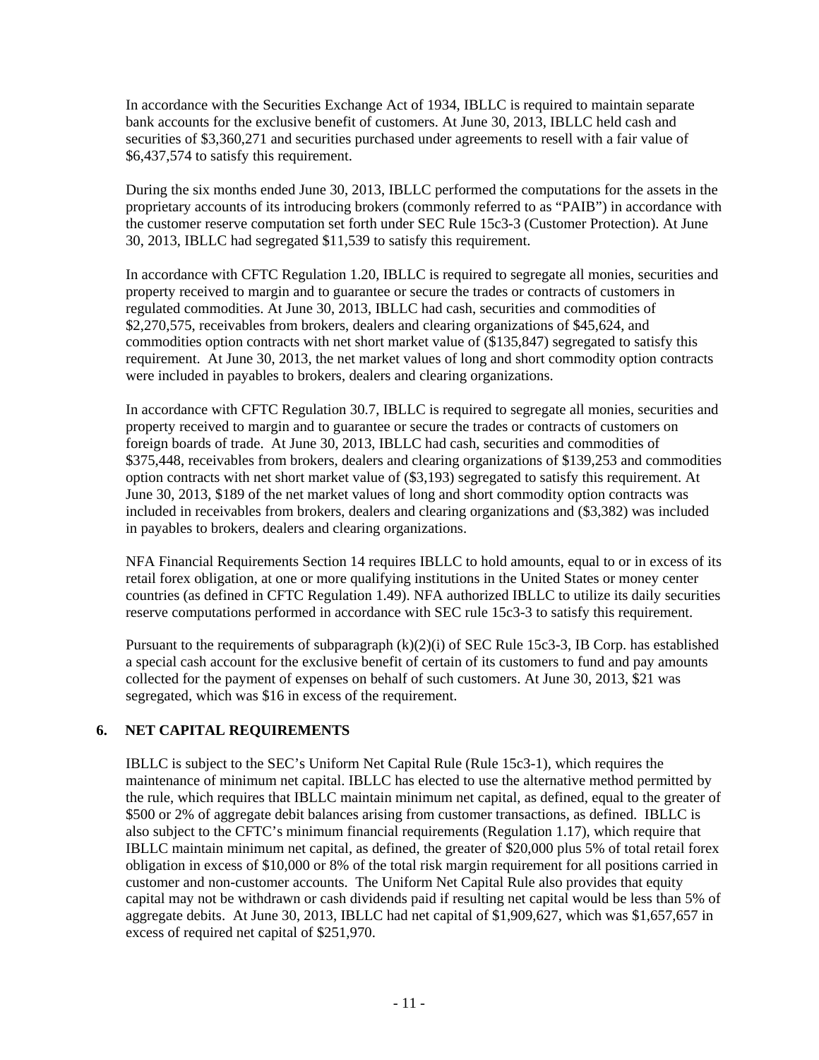In accordance with the Securities Exchange Act of 1934, IBLLC is required to maintain separate bank accounts for the exclusive benefit of customers. At June 30, 2013, IBLLC held cash and securities of \$3,360,271 and securities purchased under agreements to resell with a fair value of \$6,437,574 to satisfy this requirement.

During the six months ended June 30, 2013, IBLLC performed the computations for the assets in the proprietary accounts of its introducing brokers (commonly referred to as "PAIB") in accordance with the customer reserve computation set forth under SEC Rule 15c3-3 (Customer Protection). At June 30, 2013, IBLLC had segregated \$11,539 to satisfy this requirement.

In accordance with CFTC Regulation 1.20, IBLLC is required to segregate all monies, securities and property received to margin and to guarantee or secure the trades or contracts of customers in regulated commodities. At June 30, 2013, IBLLC had cash, securities and commodities of \$2,270,575, receivables from brokers, dealers and clearing organizations of \$45,624, and commodities option contracts with net short market value of (\$135,847) segregated to satisfy this requirement. At June 30, 2013, the net market values of long and short commodity option contracts were included in payables to brokers, dealers and clearing organizations.

In accordance with CFTC Regulation 30.7, IBLLC is required to segregate all monies, securities and property received to margin and to guarantee or secure the trades or contracts of customers on foreign boards of trade. At June 30, 2013, IBLLC had cash, securities and commodities of \$375,448, receivables from brokers, dealers and clearing organizations of \$139,253 and commodities option contracts with net short market value of (\$3,193) segregated to satisfy this requirement. At June 30, 2013, \$189 of the net market values of long and short commodity option contracts was included in receivables from brokers, dealers and clearing organizations and (\$3,382) was included in payables to brokers, dealers and clearing organizations.

NFA Financial Requirements Section 14 requires IBLLC to hold amounts, equal to or in excess of its retail forex obligation, at one or more qualifying institutions in the United States or money center countries (as defined in CFTC Regulation 1.49). NFA authorized IBLLC to utilize its daily securities reserve computations performed in accordance with SEC rule 15c3-3 to satisfy this requirement.

Pursuant to the requirements of subparagraph  $(k)(2)(i)$  of SEC Rule 15c3-3, IB Corp. has established a special cash account for the exclusive benefit of certain of its customers to fund and pay amounts collected for the payment of expenses on behalf of such customers. At June 30, 2013, \$21 was segregated, which was \$16 in excess of the requirement.

### **6. NET CAPITAL REQUIREMENTS**

IBLLC is subject to the SEC's Uniform Net Capital Rule (Rule 15c3-1), which requires the maintenance of minimum net capital. IBLLC has elected to use the alternative method permitted by the rule, which requires that IBLLC maintain minimum net capital, as defined, equal to the greater of \$500 or 2% of aggregate debit balances arising from customer transactions, as defined. IBLLC is also subject to the CFTC's minimum financial requirements (Regulation 1.17), which require that IBLLC maintain minimum net capital, as defined, the greater of \$20,000 plus 5% of total retail forex obligation in excess of \$10,000 or 8% of the total risk margin requirement for all positions carried in customer and non-customer accounts. The Uniform Net Capital Rule also provides that equity capital may not be withdrawn or cash dividends paid if resulting net capital would be less than 5% of aggregate debits. At June 30, 2013, IBLLC had net capital of \$1,909,627, which was \$1,657,657 in excess of required net capital of \$251,970.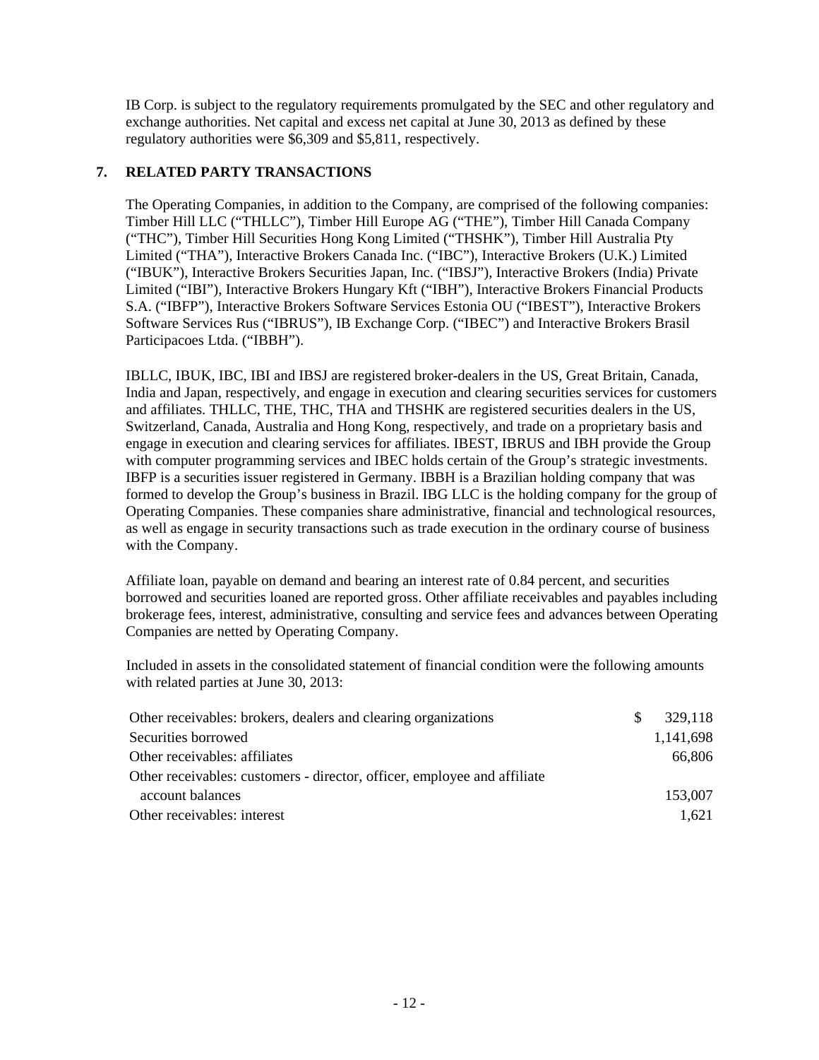IB Corp. is subject to the regulatory requirements promulgated by the SEC and other regulatory and exchange authorities. Net capital and excess net capital at June 30, 2013 as defined by these regulatory authorities were \$6,309 and \$5,811, respectively.

## **7. RELATED PARTY TRANSACTIONS**

The Operating Companies, in addition to the Company, are comprised of the following companies: Timber Hill LLC ("THLLC"), Timber Hill Europe AG ("THE"), Timber Hill Canada Company ("THC"), Timber Hill Securities Hong Kong Limited ("THSHK"), Timber Hill Australia Pty Limited ("THA"), Interactive Brokers Canada Inc. ("IBC"), Interactive Brokers (U.K.) Limited ("IBUK"), Interactive Brokers Securities Japan, Inc. ("IBSJ"), Interactive Brokers (India) Private Limited ("IBI"), Interactive Brokers Hungary Kft ("IBH"), Interactive Brokers Financial Products S.A. ("IBFP"), Interactive Brokers Software Services Estonia OU ("IBEST"), Interactive Brokers Software Services Rus ("IBRUS"), IB Exchange Corp. ("IBEC") and Interactive Brokers Brasil Participacoes Ltda. ("IBBH").

IBLLC, IBUK, IBC, IBI and IBSJ are registered broker-dealers in the US, Great Britain, Canada, India and Japan, respectively, and engage in execution and clearing securities services for customers and affiliates. THLLC, THE, THC, THA and THSHK are registered securities dealers in the US, Switzerland, Canada, Australia and Hong Kong, respectively, and trade on a proprietary basis and engage in execution and clearing services for affiliates. IBEST, IBRUS and IBH provide the Group with computer programming services and IBEC holds certain of the Group's strategic investments. IBFP is a securities issuer registered in Germany. IBBH is a Brazilian holding company that was formed to develop the Group's business in Brazil. IBG LLC is the holding company for the group of Operating Companies. These companies share administrative, financial and technological resources, as well as engage in security transactions such as trade execution in the ordinary course of business with the Company.

Affiliate loan, payable on demand and bearing an interest rate of 0.84 percent, and securities borrowed and securities loaned are reported gross. Other affiliate receivables and payables including brokerage fees, interest, administrative, consulting and service fees and advances between Operating Companies are netted by Operating Company.

Included in assets in the consolidated statement of financial condition were the following amounts with related parties at June 30, 2013:

| Other receivables: brokers, dealers and clearing organizations           | S. | 329,118   |
|--------------------------------------------------------------------------|----|-----------|
| Securities borrowed                                                      |    | 1,141,698 |
| Other receivables: affiliates                                            |    | 66.806    |
| Other receivables: customers - director, officer, employee and affiliate |    |           |
| account balances                                                         |    | 153,007   |
| Other receivables: interest                                              |    | 1,621     |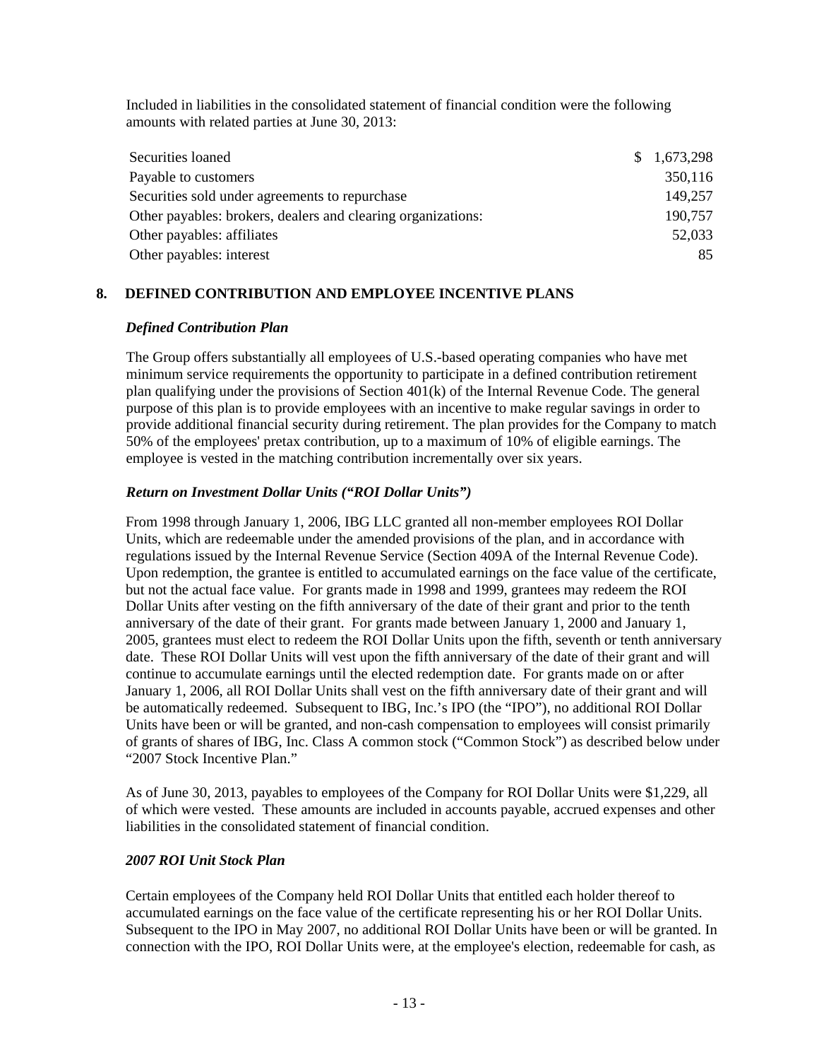Included in liabilities in the consolidated statement of financial condition were the following amounts with related parties at June 30, 2013:

| Securities loaned                                            | \$1,673,298 |
|--------------------------------------------------------------|-------------|
| Payable to customers                                         | 350,116     |
| Securities sold under agreements to repurchase               | 149,257     |
| Other payables: brokers, dealers and clearing organizations: | 190,757     |
| Other payables: affiliates                                   | 52,033      |
| Other payables: interest                                     | 85          |

# **8. DEFINED CONTRIBUTION AND EMPLOYEE INCENTIVE PLANS**

### *Defined Contribution Plan*

The Group offers substantially all employees of U.S.-based operating companies who have met minimum service requirements the opportunity to participate in a defined contribution retirement plan qualifying under the provisions of Section 401(k) of the Internal Revenue Code. The general purpose of this plan is to provide employees with an incentive to make regular savings in order to provide additional financial security during retirement. The plan provides for the Company to match 50% of the employees' pretax contribution, up to a maximum of 10% of eligible earnings. The employee is vested in the matching contribution incrementally over six years.

### *Return on Investment Dollar Units ("ROI Dollar Units")*

From 1998 through January 1, 2006, IBG LLC granted all non-member employees ROI Dollar Units, which are redeemable under the amended provisions of the plan, and in accordance with regulations issued by the Internal Revenue Service (Section 409A of the Internal Revenue Code). Upon redemption, the grantee is entitled to accumulated earnings on the face value of the certificate, but not the actual face value. For grants made in 1998 and 1999, grantees may redeem the ROI Dollar Units after vesting on the fifth anniversary of the date of their grant and prior to the tenth anniversary of the date of their grant. For grants made between January 1, 2000 and January 1, 2005, grantees must elect to redeem the ROI Dollar Units upon the fifth, seventh or tenth anniversary date. These ROI Dollar Units will vest upon the fifth anniversary of the date of their grant and will continue to accumulate earnings until the elected redemption date. For grants made on or after January 1, 2006, all ROI Dollar Units shall vest on the fifth anniversary date of their grant and will be automatically redeemed. Subsequent to IBG, Inc.'s IPO (the "IPO"), no additional ROI Dollar Units have been or will be granted, and non-cash compensation to employees will consist primarily of grants of shares of IBG, Inc. Class A common stock ("Common Stock") as described below under "2007 Stock Incentive Plan."

As of June 30, 2013, payables to employees of the Company for ROI Dollar Units were \$1,229, all of which were vested. These amounts are included in accounts payable, accrued expenses and other liabilities in the consolidated statement of financial condition.

### *2007 ROI Unit Stock Plan*

Certain employees of the Company held ROI Dollar Units that entitled each holder thereof to accumulated earnings on the face value of the certificate representing his or her ROI Dollar Units. Subsequent to the IPO in May 2007, no additional ROI Dollar Units have been or will be granted. In connection with the IPO, ROI Dollar Units were, at the employee's election, redeemable for cash, as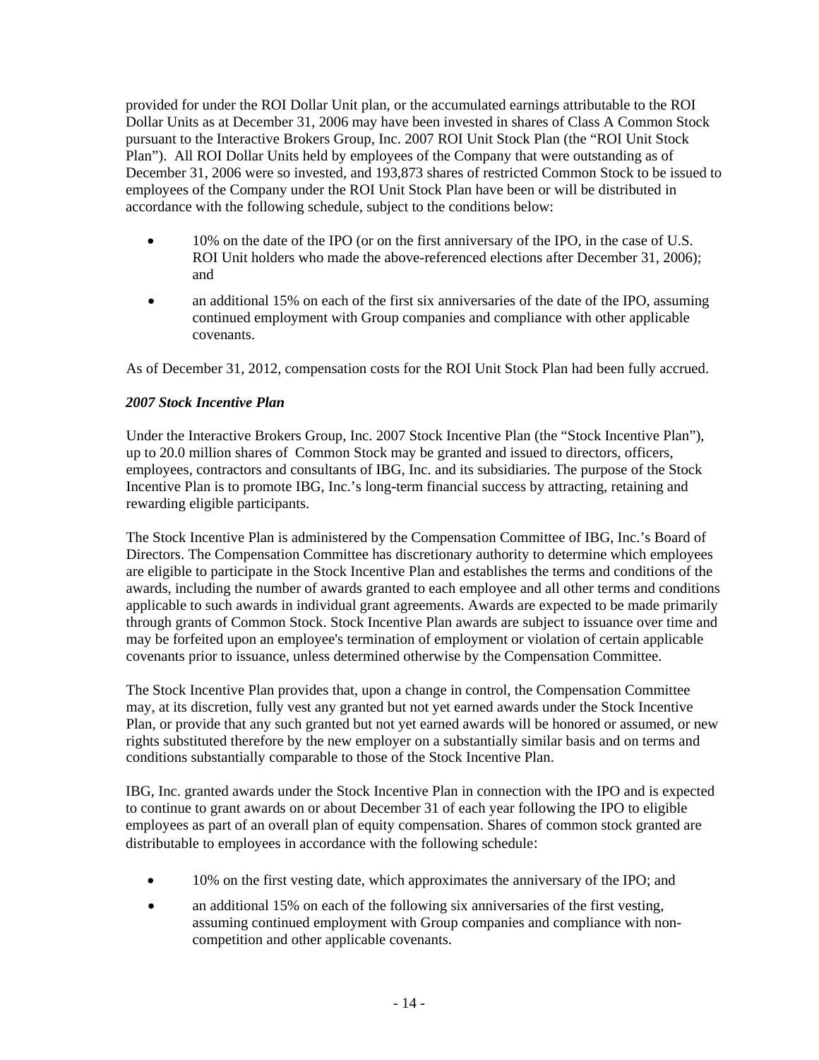provided for under the ROI Dollar Unit plan, or the accumulated earnings attributable to the ROI Dollar Units as at December 31, 2006 may have been invested in shares of Class A Common Stock pursuant to the Interactive Brokers Group, Inc. 2007 ROI Unit Stock Plan (the "ROI Unit Stock Plan"). All ROI Dollar Units held by employees of the Company that were outstanding as of December 31, 2006 were so invested, and 193,873 shares of restricted Common Stock to be issued to employees of the Company under the ROI Unit Stock Plan have been or will be distributed in accordance with the following schedule, subject to the conditions below:

- 10% on the date of the IPO (or on the first anniversary of the IPO, in the case of U.S. ROI Unit holders who made the above-referenced elections after December 31, 2006); and
- an additional 15% on each of the first six anniversaries of the date of the IPO, assuming continued employment with Group companies and compliance with other applicable covenants.

As of December 31, 2012, compensation costs for the ROI Unit Stock Plan had been fully accrued.

#### *2007 Stock Incentive Plan*

Under the Interactive Brokers Group, Inc. 2007 Stock Incentive Plan (the "Stock Incentive Plan"), up to 20.0 million shares of Common Stock may be granted and issued to directors, officers, employees, contractors and consultants of IBG, Inc. and its subsidiaries. The purpose of the Stock Incentive Plan is to promote IBG, Inc.'s long-term financial success by attracting, retaining and rewarding eligible participants.

The Stock Incentive Plan is administered by the Compensation Committee of IBG, Inc.'s Board of Directors. The Compensation Committee has discretionary authority to determine which employees are eligible to participate in the Stock Incentive Plan and establishes the terms and conditions of the awards, including the number of awards granted to each employee and all other terms and conditions applicable to such awards in individual grant agreements. Awards are expected to be made primarily through grants of Common Stock. Stock Incentive Plan awards are subject to issuance over time and may be forfeited upon an employee's termination of employment or violation of certain applicable covenants prior to issuance, unless determined otherwise by the Compensation Committee.

The Stock Incentive Plan provides that, upon a change in control, the Compensation Committee may, at its discretion, fully vest any granted but not yet earned awards under the Stock Incentive Plan, or provide that any such granted but not yet earned awards will be honored or assumed, or new rights substituted therefore by the new employer on a substantially similar basis and on terms and conditions substantially comparable to those of the Stock Incentive Plan.

IBG, Inc. granted awards under the Stock Incentive Plan in connection with the IPO and is expected to continue to grant awards on or about December 31 of each year following the IPO to eligible employees as part of an overall plan of equity compensation. Shares of common stock granted are distributable to employees in accordance with the following schedule:

- 10% on the first vesting date, which approximates the anniversary of the IPO; and
- an additional 15% on each of the following six anniversaries of the first vesting, assuming continued employment with Group companies and compliance with noncompetition and other applicable covenants.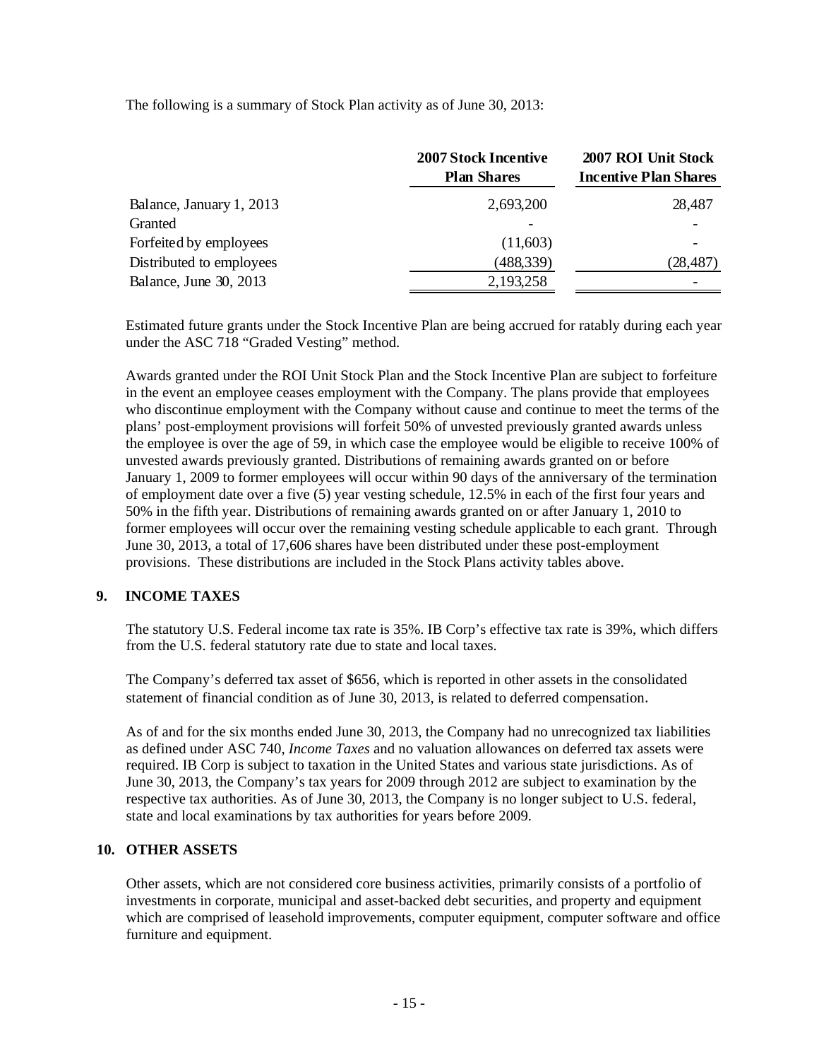The following is a summary of Stock Plan activity as of June 30, 2013:

| 2007 ROI Unit Stock<br><b>Incentive Plan Shares</b> |
|-----------------------------------------------------|
| 28,487                                              |
|                                                     |
|                                                     |
| (28, 487)                                           |
|                                                     |
|                                                     |

Estimated future grants under the Stock Incentive Plan are being accrued for ratably during each year under the ASC 718 "Graded Vesting" method.

Awards granted under the ROI Unit Stock Plan and the Stock Incentive Plan are subject to forfeiture in the event an employee ceases employment with the Company. The plans provide that employees who discontinue employment with the Company without cause and continue to meet the terms of the plans' post-employment provisions will forfeit 50% of unvested previously granted awards unless the employee is over the age of 59, in which case the employee would be eligible to receive 100% of unvested awards previously granted. Distributions of remaining awards granted on or before January 1, 2009 to former employees will occur within 90 days of the anniversary of the termination of employment date over a five (5) year vesting schedule, 12.5% in each of the first four years and 50% in the fifth year. Distributions of remaining awards granted on or after January 1, 2010 to former employees will occur over the remaining vesting schedule applicable to each grant. Through June 30, 2013, a total of 17,606 shares have been distributed under these post-employment provisions. These distributions are included in the Stock Plans activity tables above.

### **9. INCOME TAXES**

The statutory U.S. Federal income tax rate is 35%. IB Corp's effective tax rate is 39%, which differs from the U.S. federal statutory rate due to state and local taxes.

The Company's deferred tax asset of \$656, which is reported in other assets in the consolidated statement of financial condition as of June 30, 2013, is related to deferred compensation.

As of and for the six months ended June 30, 2013, the Company had no unrecognized tax liabilities as defined under ASC 740, *Income Taxes* and no valuation allowances on deferred tax assets were required. IB Corp is subject to taxation in the United States and various state jurisdictions. As of June 30, 2013, the Company's tax years for 2009 through 2012 are subject to examination by the respective tax authorities. As of June 30, 2013, the Company is no longer subject to U.S. federal, state and local examinations by tax authorities for years before 2009.

### **10. OTHER ASSETS**

Other assets, which are not considered core business activities, primarily consists of a portfolio of investments in corporate, municipal and asset-backed debt securities, and property and equipment which are comprised of leasehold improvements, computer equipment, computer software and office furniture and equipment.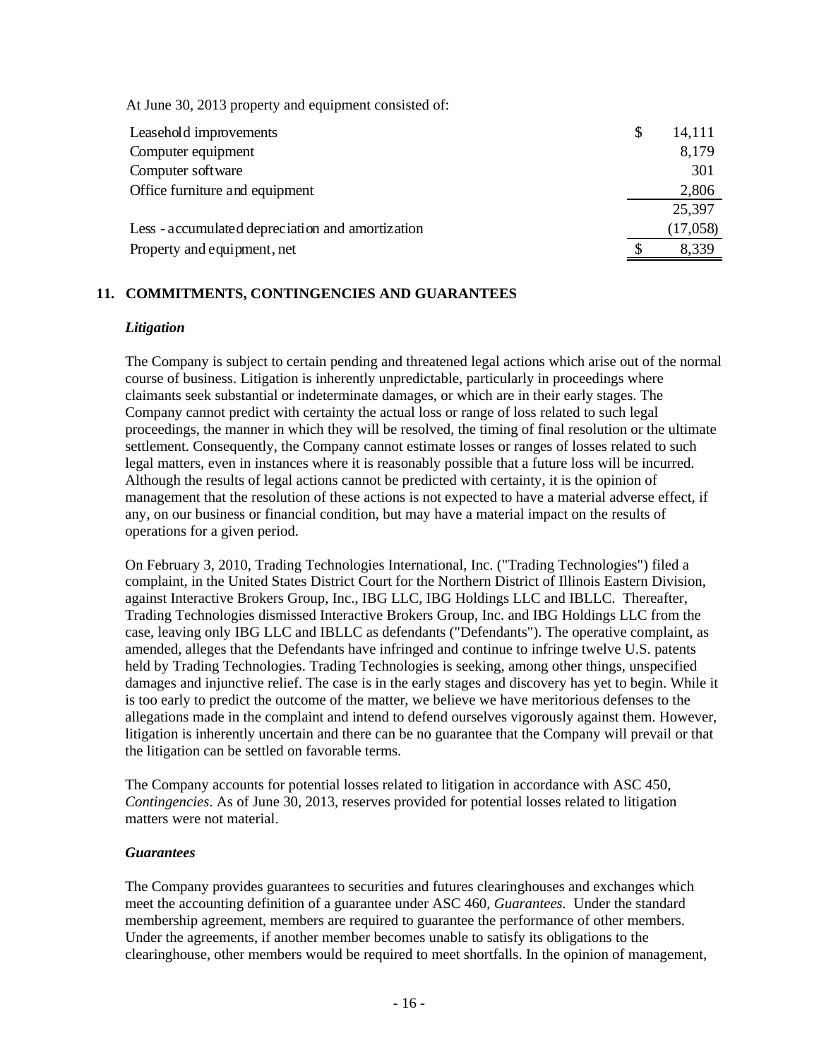At June 30, 2013 property and equipment consisted of:

| Leasehold improvements                           | \$<br>14,111 |
|--------------------------------------------------|--------------|
| Computer equipment                               | 8,179        |
| Computer software                                | 301          |
| Office furniture and equipment                   | 2,806        |
|                                                  | 25,397       |
| Less - accumulated depreciation and amortization | (17,058)     |
| Property and equipment, net                      | 8,339        |

### **11. COMMITMENTS, CONTINGENCIES AND GUARANTEES**

#### *Litigation*

The Company is subject to certain pending and threatened legal actions which arise out of the normal course of business. Litigation is inherently unpredictable, particularly in proceedings where claimants seek substantial or indeterminate damages, or which are in their early stages. The Company cannot predict with certainty the actual loss or range of loss related to such legal proceedings, the manner in which they will be resolved, the timing of final resolution or the ultimate settlement. Consequently, the Company cannot estimate losses or ranges of losses related to such legal matters, even in instances where it is reasonably possible that a future loss will be incurred. Although the results of legal actions cannot be predicted with certainty, it is the opinion of management that the resolution of these actions is not expected to have a material adverse effect, if any, on our business or financial condition, but may have a material impact on the results of operations for a given period.

On February 3, 2010, Trading Technologies International, Inc. ("Trading Technologies") filed a complaint, in the United States District Court for the Northern District of Illinois Eastern Division, against Interactive Brokers Group, Inc., IBG LLC, IBG Holdings LLC and IBLLC. Thereafter, Trading Technologies dismissed Interactive Brokers Group, Inc. and IBG Holdings LLC from the case, leaving only IBG LLC and IBLLC as defendants ("Defendants"). The operative complaint, as amended, alleges that the Defendants have infringed and continue to infringe twelve U.S. patents held by Trading Technologies. Trading Technologies is seeking, among other things, unspecified damages and injunctive relief. The case is in the early stages and discovery has yet to begin. While it is too early to predict the outcome of the matter, we believe we have meritorious defenses to the allegations made in the complaint and intend to defend ourselves vigorously against them. However, litigation is inherently uncertain and there can be no guarantee that the Company will prevail or that the litigation can be settled on favorable terms.

The Company accounts for potential losses related to litigation in accordance with ASC 450, *Contingencies*. As of June 30, 2013, reserves provided for potential losses related to litigation matters were not material.

#### *Guarantees*

The Company provides guarantees to securities and futures clearinghouses and exchanges which meet the accounting definition of a guarantee under ASC 460, *Guarantees.* Under the standard membership agreement, members are required to guarantee the performance of other members. Under the agreements, if another member becomes unable to satisfy its obligations to the clearinghouse, other members would be required to meet shortfalls. In the opinion of management,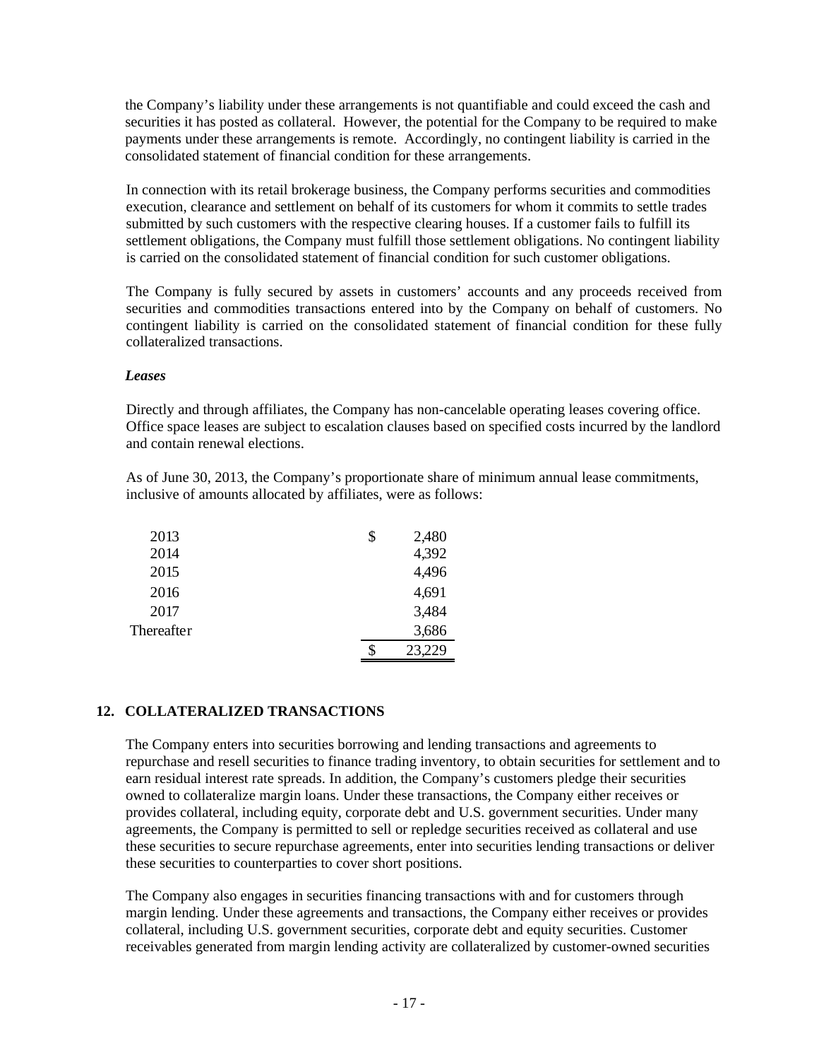the Company's liability under these arrangements is not quantifiable and could exceed the cash and securities it has posted as collateral. However, the potential for the Company to be required to make payments under these arrangements is remote. Accordingly, no contingent liability is carried in the consolidated statement of financial condition for these arrangements.

In connection with its retail brokerage business, the Company performs securities and commodities execution, clearance and settlement on behalf of its customers for whom it commits to settle trades submitted by such customers with the respective clearing houses. If a customer fails to fulfill its settlement obligations, the Company must fulfill those settlement obligations. No contingent liability is carried on the consolidated statement of financial condition for such customer obligations.

The Company is fully secured by assets in customers' accounts and any proceeds received from securities and commodities transactions entered into by the Company on behalf of customers. No contingent liability is carried on the consolidated statement of financial condition for these fully collateralized transactions.

#### *Leases*

Directly and through affiliates, the Company has non-cancelable operating leases covering office. Office space leases are subject to escalation clauses based on specified costs incurred by the landlord and contain renewal elections.

As of June 30, 2013, the Company's proportionate share of minimum annual lease commitments, inclusive of amounts allocated by affiliates, were as follows:

| 2013       | \$<br>2,480  |
|------------|--------------|
| 2014       | 4,392        |
| 2015       | 4,496        |
| 2016       | 4,691        |
| 2017       | 3,484        |
| Thereafter | 3,686        |
|            | \$<br>23,229 |

### **12. COLLATERALIZED TRANSACTIONS**

The Company enters into securities borrowing and lending transactions and agreements to repurchase and resell securities to finance trading inventory, to obtain securities for settlement and to earn residual interest rate spreads. In addition, the Company's customers pledge their securities owned to collateralize margin loans. Under these transactions, the Company either receives or provides collateral, including equity, corporate debt and U.S. government securities. Under many agreements, the Company is permitted to sell or repledge securities received as collateral and use these securities to secure repurchase agreements, enter into securities lending transactions or deliver these securities to counterparties to cover short positions.

The Company also engages in securities financing transactions with and for customers through margin lending. Under these agreements and transactions, the Company either receives or provides collateral, including U.S. government securities, corporate debt and equity securities. Customer receivables generated from margin lending activity are collateralized by customer-owned securities